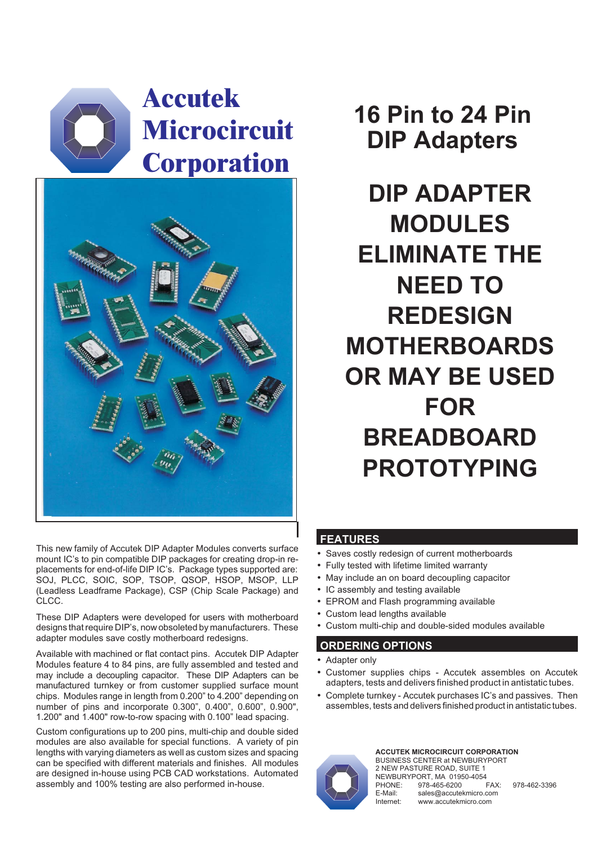## **Accutek Microcircuit Corporation**



**16 Pin to 24 Pin DIP Adapters**

**DIP ADAPTER MODULES ELIMINATE THE NEED TO REDESIGN MOTHERBOARDS OR MAY BE USED FOR BREADBOARD PROTOTYPING**

This new family of Accutek DIP Adapter Modules converts surface mount IC's to pin compatible DIP packages for creating drop-in replacements for end-of-life DIP IC's. Package types supported are: SOJ, PLCC, SOIC, SOP, TSOP, QSOP, HSOP, MSOP, LLP (Leadless Leadframe Package), CSP (Chip Scale Package) and CLCC.

These DIP Adapters were developed for users with motherboard designs that require DIP's, now obsoleted by manufacturers. These adapter modules save costly motherboard redesigns.

Available with machined or flat contact pins. Accutek DIP Adapter Modules feature 4 to 84 pins, are fully assembled and tested and may include a decoupling capacitor. These DIP Adapters can be manufactured turnkey or from customer supplied surface mount chips. Modules range in length from 0.200" to 4.200" depending on number of pins and incorporate 0.300", 0.400", 0.600", 0.900", 1.200" and 1.400" row-to-row spacing with 0.100" lead spacing.

Custom configurations up to 200 pins, multi-chip and double sided modules are also available for special functions. A variety of pin lengths with varying diameters as well as custom sizes and spacing can be specified with different materials and finishes. All modules are designed in-house using PCB CAD workstations. Automated assembly and 100% testing are also performed in-house.

## **FEATURES** -

- Saves costly redesign of current motherboards -
- Fully tested with lifetime limited warranty -
- May include an on board decoupling capacitor -
- IC assembly and testing available -
- EPROM and Flash programming available -
- Custom lead lengths available -
- Custom multi-chip and double-sided modules available

## **ORDERING OPTIONS** -

- Adapter only
- Customer supplies chips Accutek assembles on Accutek adapters, tests and delivers finished product in antistatic tubes.
- Complete turnkey Accutek purchases IC's and passives. Then assembles, tests and delivers finished product in antistatic tubes.



**ACCUTEK MICROCIRCUIT CORPORATION** BUSINESS CENTER at NEWBURYPORT 2 NEW PASTURE ROAD, SUITE 1 NEWBURYPORT, MA 01950-4054<br>PHONE: 978-465-6200 FAX: 978-465-6200 FAX: 978-462-3396 E-Mail: sales@accutekmicro.com<br>Internet: www.accutekmicro.com www.accutekmicro.com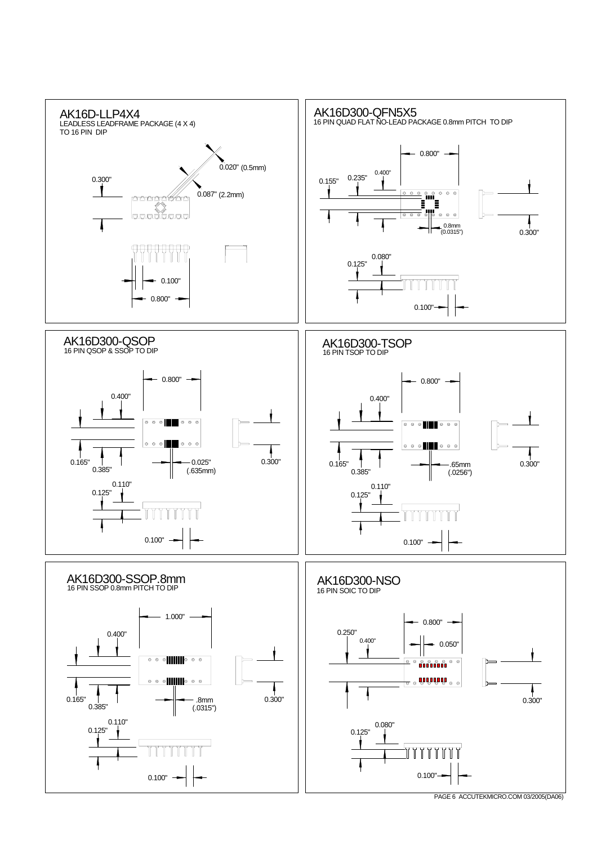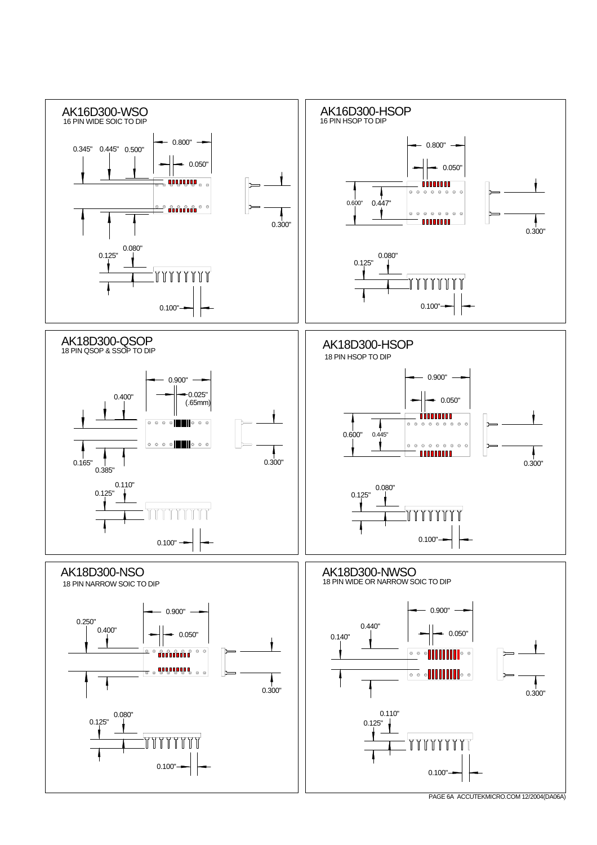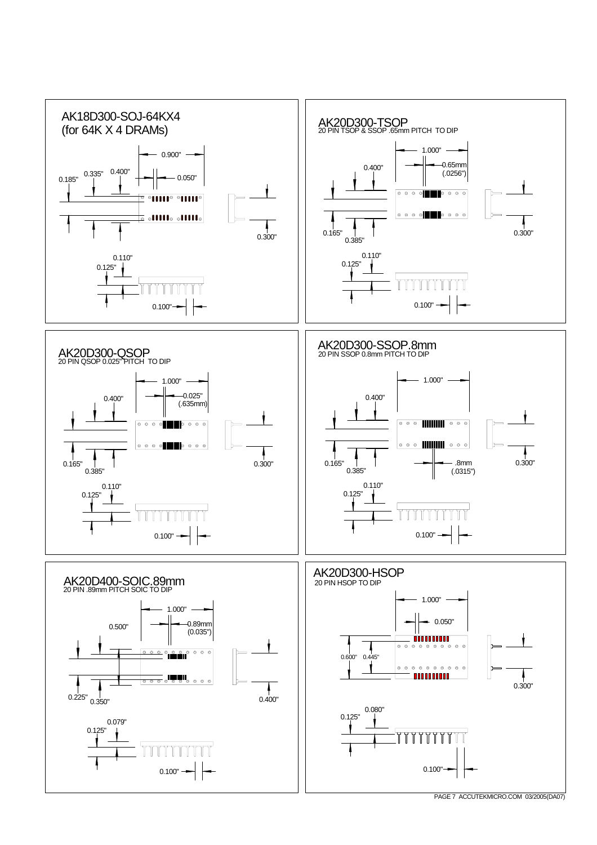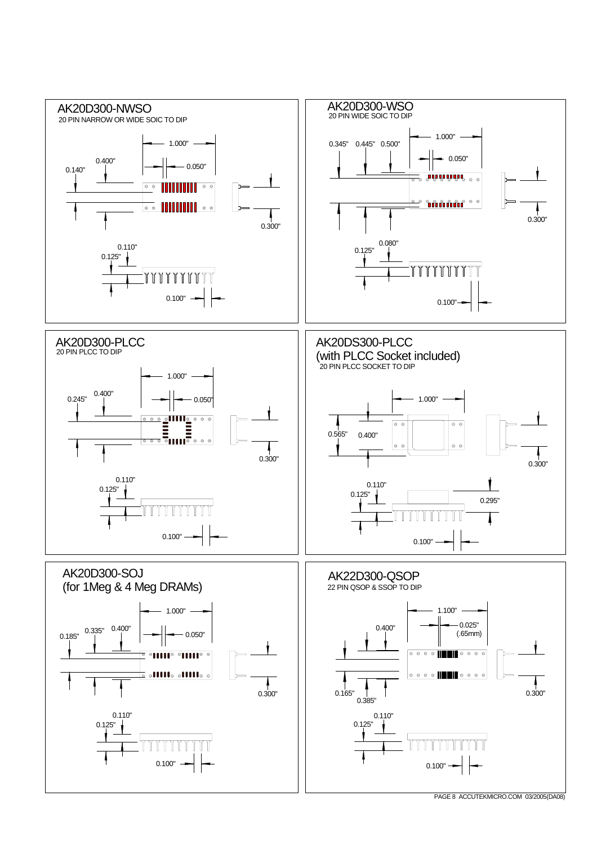